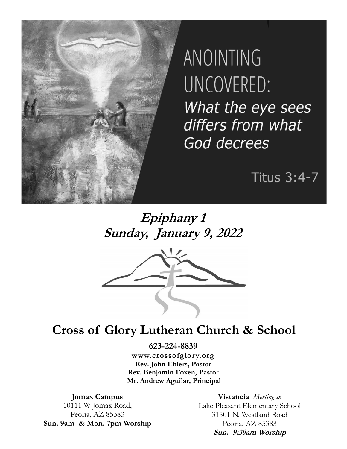

ANOINTING UNCOVERED: What the eye sees differs from what God decrees

**Titus 3:4-7** 

**Epiphany 1 Sunday, January 9, 2022**



## **Cross of Glory Lutheran Church & School**

**623-224-8839** 

**www.crossofglory.org Rev. John Ehlers, Pastor Rev. Benjamin Foxen, Pastor Mr. Andrew Aguilar, Principal**

**Jomax Campus** 10111 W Jomax Road, Peoria, AZ 85383 **Sun. 9am & Mon. 7pm Worship**

**Vistancia** *Meeting in*  Lake Pleasant Elementary School 31501 N. Westland Road Peoria, AZ 85383 **Sun. 9:30am Worship**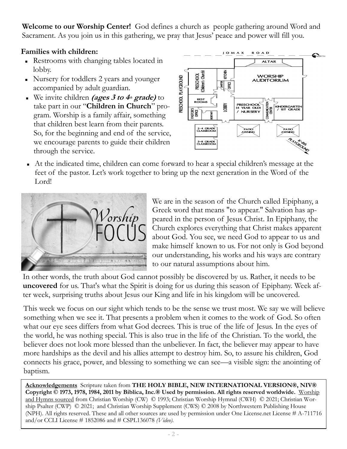**Welcome to our Worship Center!** God defines a church as people gathering around Word and Sacrament. As you join us in this gathering, we pray that Jesus' peace and power will fill you.

### **Families with children:**

- Restrooms with changing tables located in lobby.
- Nursery for toddlers 2 years and younger accompanied by adult guardian.
- We invite children (ages 3 to 4<sup>th</sup> grade) to take part in our "**Children in Church**" program. Worship is a family affair, something that children best learn from their parents. So, for the beginning and end of the service, we encourage parents to guide their children through the service.



■ At the indicated time, children can come forward to hear a special children's message at the feet of the pastor. Let's work together to bring up the next generation in the Word of the Lord!



We are in the season of the Church called Epiphany, a Greek word that means "to appear." Salvation has appeared in the person of Jesus Christ. In Epiphany, the Church explores everything that Christ makes apparent about God. You see, we need God to appear to us and make himself known to us. For not only is God beyond our understanding, his works and his ways are contrary to our natural assumptions about him.

In other words, the truth about God cannot possibly be discovered by us. Rather, it needs to be **uncovered** for us. That's what the Spirit is doing for us during this season of Epiphany. Week after week, surprising truths about Jesus our King and life in his kingdom will be uncovered.

This week we focus on our sight which tends to be the sense we trust most. We say we will believe something when we see it. That presents a problem when it comes to the work of God. So often what our eye sees differs from what God decrees. This is true of the life of Jesus. In the eyes of the world, he was nothing special. This is also true in the life of the Christian. To the world, the believer does not look more blessed than the unbeliever. In fact, the believer may appear to have more hardships as the devil and his allies attempt to destroy him. So, to assure his children, God connects his grace, power, and blessing to something we can see—a visible sign: the anointing of baptism.

**Acknowledgements** Scripture taken from **THE HOLY BIBLE, NEW INTERNATIONAL VERSION®, NIV® Copyright © 1973, 1978, 1984, 2011 by Biblica, Inc.® Used by permission. All rights reserved worldwide.** Worship and Hymns sourced from Christian Worship (CW) © 1993; Christian Worship Hymnal (CWH) © 2021; Christian Worship Psalter (CWP) © 2021; and Christian Worship Supplement (CWS) © 2008 by Northwestern Publishing House (NPH). All rights reserved. These and all other sources are used by permission under One License.net License # A-711716 and/or CCLI License # 1852086 and # CSPL136078 *(Video).*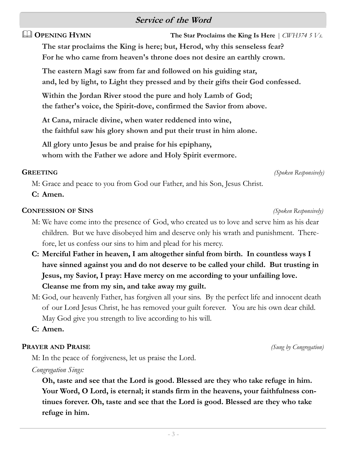### **Service of the Word**

**OPENING HYMN The Star Proclaims the King Is Here** *| CWH374 5 Vs.*  **The star proclaims the King is here; but, Herod, why this senseless fear? For he who came from heaven's throne does not desire an earthly crown.**

**The eastern Magi saw from far and followed on his guiding star, and, led by light, to Light they pressed and by their gifts their God confessed.**

**Within the Jordan River stood the pure and holy Lamb of God; the father's voice, the Spirit-dove, confirmed the Savior from above.**

**At Cana, miracle divine, when water reddened into wine, the faithful saw his glory shown and put their trust in him alone.**

**All glory unto Jesus be and praise for his epiphany, whom with the Father we adore and Holy Spirit evermore.**

**GREETING** *(Spoken Responsively)*

M: Grace and peace to you from God our Father, and his Son, Jesus Christ.

**C: Amen.**

### **CONFESSION OF SINS** *(Spoken Responsively)*

- M: We have come into the presence of God, who created us to love and serve him as his dear children. But we have disobeyed him and deserve only his wrath and punishment. Therefore, let us confess our sins to him and plead for his mercy.
- **C: Merciful Father in heaven, I am altogether sinful from birth. In countless ways I have sinned against you and do not deserve to be called your child. But trusting in Jesus, my Savior, I pray: Have mercy on me according to your unfailing love. Cleanse me from my sin, and take away my guilt.**
- M: God, our heavenly Father, has forgiven all your sins. By the perfect life and innocent death of our Lord Jesus Christ, he has removed your guilt forever. You are his own dear child. May God give you strength to live according to his will.
- **C: Amen.**

### **PRAYER AND PRAISE** *(Sung by Congregation)*

M: In the peace of forgiveness, let us praise the Lord.

*Congregation Sings:* 

**Oh, taste and see that the Lord is good. Blessed are they who take refuge in him. Your Word, O Lord, is eternal; it stands firm in the heavens, your faithfulness continues forever. Oh, taste and see that the Lord is good. Blessed are they who take refuge in him.**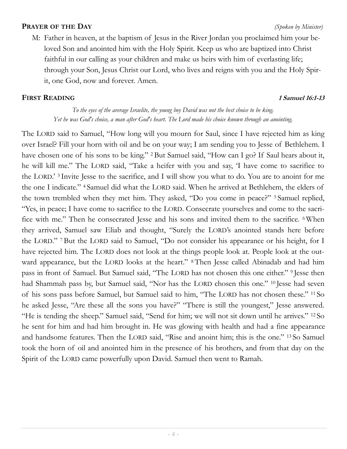### **PRAYER OF THE DAY** *(Spoken by Minister)*

## M: Father in heaven, at the baptism of Jesus in the River Jordan you proclaimed him your beloved Son and anointed him with the Holy Spirit. Keep us who are baptized into Christ faithful in our calling as your children and make us heirs with him of everlasting life; through your Son, Jesus Christ our Lord, who lives and reigns with you and the Holy Spirit, one God, now and forever. Amen.

### **FIRST READING 1 Samuel 16:1-13**

*To the eyes of the average Israelite, the young boy David was not the best choice to be king. Yet he was God's choice, a man after God's heart. The Lord made his choice known through an anointing.* 

The LORD said to Samuel, "How long will you mourn for Saul, since I have rejected him as king over Israel? Fill your horn with oil and be on your way; I am sending you to Jesse of Bethlehem. I have chosen one of his sons to be king." <sup>2</sup> But Samuel said, "How can I go? If Saul hears about it, he will kill me." The LORD said, "Take a heifer with you and say, 'I have come to sacrifice to the LORD.' <sup>3</sup> Invite Jesse to the sacrifice, and I will show you what to do. You are to anoint for me the one I indicate." <sup>4</sup> Samuel did what the LORD said. When he arrived at Bethlehem, the elders of the town trembled when they met him. They asked, "Do you come in peace?" <sup>5</sup> Samuel replied, "Yes, in peace; I have come to sacrifice to the LORD. Consecrate yourselves and come to the sacrifice with me." Then he consecrated Jesse and his sons and invited them to the sacrifice. <sup>6</sup> When they arrived, Samuel saw Eliab and thought, "Surely the LORD's anointed stands here before the LORD." <sup>7</sup> But the LORD said to Samuel, "Do not consider his appearance or his height, for I have rejected him. The LORD does not look at the things people look at. People look at the outward appearance, but the LORD looks at the heart." <sup>8</sup> Then Jesse called Abinadab and had him pass in front of Samuel. But Samuel said, "The LORD has not chosen this one either." <sup>9</sup> Jesse then had Shammah pass by, but Samuel said, "Nor has the LORD chosen this one." <sup>10</sup> Jesse had seven of his sons pass before Samuel, but Samuel said to him, "The LORD has not chosen these." <sup>11</sup> So he asked Jesse, "Are these all the sons you have?" "There is still the youngest," Jesse answered. "He is tending the sheep." Samuel said, "Send for him; we will not sit down until he arrives." <sup>12</sup> So he sent for him and had him brought in. He was glowing with health and had a fine appearance and handsome features. Then the LORD said, "Rise and anoint him; this is the one." <sup>13</sup> So Samuel took the horn of oil and anointed him in the presence of his brothers, and from that day on the Spirit of the LORD came powerfully upon David. Samuel then went to Ramah.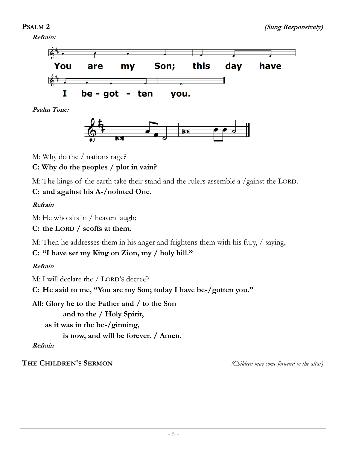**Refrain:**



**Psalm Tone:**



M: Why do the / nations rage?

**C: Why do the peoples / plot in vain?**

M: The kings of the earth take their stand and the rulers assemble a-/gainst the LORD.

### **C: and against his A-/nointed One.**

### **Refrain**

M: He who sits in / heaven laugh;

### **C: the LORD / scoffs at them.**

M: Then he addresses them in his anger and frightens them with his fury, / saying,

**C: "I have set my King on Zion, my / holy hill."**

### **Refrain**

M: I will declare the / LORD'S decree?

**C: He said to me, "You are my Son; today I have be-/gotten you."**

**All: Glory be to the Father and / to the Son**

**and to the / Holy Spirit,**

**as it was in the be-/ginning,** 

**is now, and will be forever. / Amen.**

**Refrain**

**THE CHILDREN'S SERMON** *(Children may come forward to the altar)*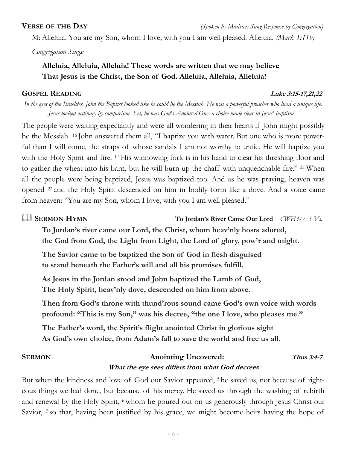M: Alleluia. You are my Son, whom I love; with you I am well pleased. Alleluia. *(Mark 1:11b)* 

*Congregation Sings:* 

## **Alleluia, Alleluia, Alleluia! These words are written that we may believe That Jesus is the Christ, the Son of God. Alleluia, Alleluia, Alleluia!**

### **GOSPEL READING Luke 3:15-17,21,22**

*In the eyes of the Israelites, John the Baptist looked like he could be the Messiah. He was a powerful preacher who lived a unique life. Jesus looked ordinary by comparison. Yet, he was God's Anointed One, a choice made clear in Jesus' baptism.* 

The people were waiting expectantly and were all wondering in their hearts if John might possibly be the Messiah. <sup>16</sup> John answered them all, "I baptize you with water. But one who is more powerful than I will come, the straps of whose sandals I am not worthy to untie. He will baptize you with the Holy Spirit and fire. <sup>17</sup> His winnowing fork is in his hand to clear his threshing floor and to gather the wheat into his barn, but he will burn up the chaff with unquenchable fire." <sup>21</sup> When all the people were being baptized, Jesus was baptized too. And as he was praying, heaven was opened <sup>22</sup> and the Holy Spirit descended on him in bodily form like a dove. And a voice came from heaven: "You are my Son, whom I love; with you I am well pleased."

**CONTRESHENON HYMN To Jordan's River Came Our Lord** *| CWH377 5 Vs.* 

**To Jordan's river came our Lord, the Christ, whom heav'nly hosts adored,** 

**the God from God, the Light from Light, the Lord of glory, pow'r and might.**

**The Savior came to be baptized the Son of God in flesh disguised to stand beneath the Father's will and all his promises fulfill.**

**As Jesus in the Jordan stood and John baptized the Lamb of God, The Holy Spirit, heav'nly dove, descended on him from above.**

**Then from God's throne with thund'rous sound came God's own voice with words profound: "This is my Son," was his decree, "the one I love, who pleases me."**

**The Father's word, the Spirit's flight anointed Christ in glorious sight As God's own choice, from Adam's fall to save the world and free us all.**

### **SERMON** Anointing Uncovered: *Titus 3:4-7*

## **What the eye sees differs from what God decrees**

But when the kindness and love of God our Savior appeared, <sup>5</sup> he saved us, not because of righteous things we had done, but because of his mercy. He saved us through the washing of rebirth and renewal by the Holy Spirit, <sup>6</sup> whom he poured out on us generously through Jesus Christ our Savior, <sup>7</sup> so that, having been justified by his grace, we might become heirs having the hope of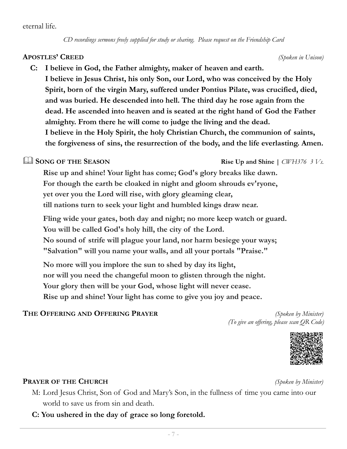### eternal life.

*CD recordings sermons freely supplied for study or sharing. Please request on the Friendship Card*

### **APOSTLES' CREED** *(Spoken in Unison)*

**C: I believe in God, the Father almighty, maker of heaven and earth. I believe in Jesus Christ, his only Son, our Lord, who was conceived by the Holy Spirit, born of the virgin Mary, suffered under Pontius Pilate, was crucified, died, and was buried. He descended into hell. The third day he rose again from the dead. He ascended into heaven and is seated at the right hand of God the Father almighty. From there he will come to judge the living and the dead. I believe in the Holy Spirit, the holy Christian Church, the communion of saints, the forgiveness of sins, the resurrection of the body, and the life everlasting. Amen.**

**Example 3 Bong OF THE SEASON** Rise Up and Shine | *CWH376 3 Vs.* 

**Rise up and shine! Your light has come; God's glory breaks like dawn. For though the earth be cloaked in night and gloom shrouds ev'ryone, yet over you the Lord will rise, with glory gleaming clear, till nations turn to seek your light and humbled kings draw near.**

**Fling wide your gates, both day and night; no more keep watch or guard. You will be called God's holy hill, the city of the Lord. No sound of strife will plague your land, nor harm besiege your ways;**

**"Salvation" will you name your walls, and all your portals "Praise."**

**No more will you implore the sun to shed by day its light, nor will you need the changeful moon to glisten through the night. Your glory then will be your God, whose light will never cease. Rise up and shine! Your light has come to give you joy and peace.**

### **THE OFFERING AND OFFERING PRAYER** *(Spoken by Minister)*

*(To give an offering, please scan QR Code)*



### **PRAYER OF THE CHURCH** *(Spoken by Minister)*

M: Lord Jesus Christ, Son of God and Mary's Son, in the fullness of time you came into our world to save us from sin and death.

**C: You ushered in the day of grace so long foretold.**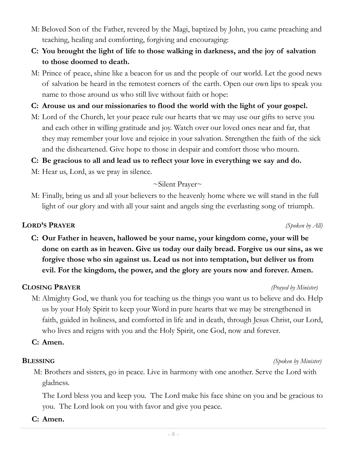- M: Beloved Son of the Father, revered by the Magi, baptized by John, you came preaching and teaching, healing and comforting, forgiving and encouraging:
- **C: You brought the light of life to those walking in darkness, and the joy of salvation to those doomed to death.**
- M: Prince of peace, shine like a beacon for us and the people of our world. Let the good news of salvation be heard in the remotest corners of the earth. Open our own lips to speak you name to those around us who still live without faith or hope:
- **C: Arouse us and our missionaries to flood the world with the light of your gospel.**
- M: Lord of the Church, let your peace rule our hearts that we may use our gifts to serve you and each other in willing gratitude and joy. Watch over our loved ones near and far, that they may remember your love and rejoice in your salvation. Strengthen the faith of the sick and the disheartened. Give hope to those in despair and comfort those who mourn.

### **C: Be gracious to all and lead us to reflect your love in everything we say and do.**

M: Hear us, Lord, as we pray in silence.

### ~Silent Prayer~

M: Finally, bring us and all your believers to the heavenly home where we will stand in the full light of our glory and with all your saint and angels sing the everlasting song of triumph.

### **LORD'S PRAYER** *(Spoken by All)*

**C: Our Father in heaven, hallowed be your name, your kingdom come, your will be done on earth as in heaven. Give us today our daily bread. Forgive us our sins, as we forgive those who sin against us. Lead us not into temptation, but deliver us from evil. For the kingdom, the power, and the glory are yours now and forever. Amen.**

### **CLOSING PRAYER** *(Prayed by Minister)*

- M: Almighty God, we thank you for teaching us the things you want us to believe and do. Help us by your Holy Spirit to keep your Word in pure hearts that we may be strengthened in faith, guided in holiness, and comforted in life and in death, through Jesus Christ, our Lord, who lives and reigns with you and the Holy Spirit, one God, now and forever.
- **C: Amen.**

### **BLESSING** *(Spoken by Minister)*

M: Brothers and sisters, go in peace. Live in harmony with one another. Serve the Lord with gladness.

The Lord bless you and keep you. The Lord make his face shine on you and be gracious to you. The Lord look on you with favor and give you peace.

**C: Amen.**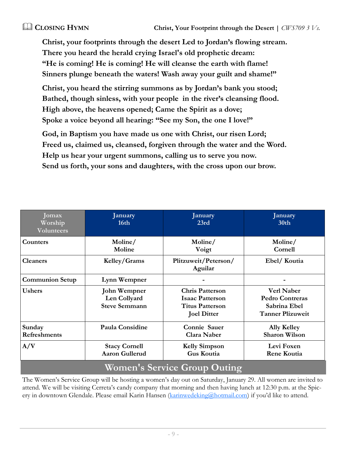**Christ, your footprints through the desert Led to Jordan's flowing stream. There you heard the herald crying Israel's old prophetic dream: "He is coming! He is coming! He will cleanse the earth with flame! Sinners plunge beneath the waters! Wash away your guilt and shame!"**

**Christ, you heard the stirring summons as by Jordan's bank you stood; Bathed, though sinless, with your people in the river's cleansing flood. High above, the heavens opened; Came the Spirit as a dove; Spoke a voice beyond all hearing: "See my Son, the one I love!"**

**God, in Baptism you have made us one with Christ, our risen Lord; Freed us, claimed us, cleansed, forgiven through the water and the Word. Help us hear your urgent summons, calling us to serve you now. Send us forth, your sons and daughters, with the cross upon our brow.**

| Jomax<br>Worship<br><b>Volunteers</b> | January<br>16th                                             | January<br>23rd                                                                                  | January<br>30th                                                                        |
|---------------------------------------|-------------------------------------------------------------|--------------------------------------------------------------------------------------------------|----------------------------------------------------------------------------------------|
| Counters                              | Moline/<br>Moline                                           | Moline/<br>Voigt                                                                                 | Moline/<br>Cornell                                                                     |
| <b>Cleaners</b>                       | Kelley/Grams                                                | Plitzuweit/Peterson/<br>Aguilar                                                                  | Ebel/Koutia                                                                            |
| <b>Communion Setup</b>                | Lynn Wempner                                                |                                                                                                  |                                                                                        |
| <b>Ushers</b>                         | <b>John Wempner</b><br>Len Collyard<br><b>Steve Semmann</b> | <b>Chris Patterson</b><br><b>Isaac Patterson</b><br><b>Titus Patterson</b><br><b>Joel Ditter</b> | <b>Verl Naber</b><br><b>Pedro Contreras</b><br>Sabrina Ebel<br><b>Tanner Plizuweit</b> |
| Sunday<br><b>Refreshments</b>         | Paula Considine                                             | Connie Sauer<br><b>Clara Naber</b>                                                               | <b>Ally Kelley</b><br><b>Sharon Wilson</b>                                             |
| A/V                                   | <b>Stacy Cornell</b><br><b>Aaron Gullerud</b>               | <b>Kelly Simpson</b><br>Gus Koutia                                                               | Levi Foxen<br><b>Rene Koutia</b>                                                       |
| Women's Service Group Outing          |                                                             |                                                                                                  |                                                                                        |

The Women's Service Group will be hosting a women's day out on Saturday, January 29. All women are invited to attend. We will be visiting Cerreta's candy company that morning and then having lunch at 12:30 p.m. at the Spicery in downtown Glendale. Please email Karin Hansen ([karinwedeking@hotmail.com](mailto:karinwedeking@hotmail.com)) if you'd like to attend.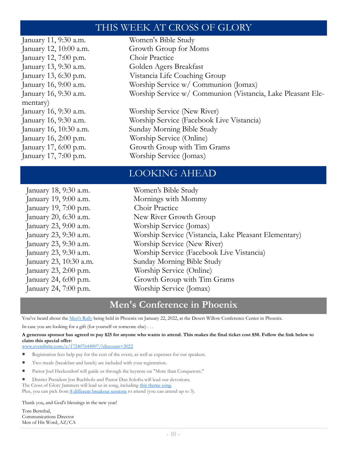## THIS WEEK AT CROSS OF GLORY

January 11, 9:30 a.m. Women's Bible Study January 12, 10:00 a.m. Growth Group for Moms January 12, 7:00 p.m. Choir Practice January 13, 9:30 a.m. Golden Agers Breakfast January 13, 6:30 p.m. Vistancia Life Coaching Group January 16, 9:00 a.m. Worship Service w/ Communion (Jomax) January 16, 9:30 a.m. Worship Service w/ Communion (Vistancia, Lake Pleasant Elementary) January 16, 9:30 a.m. Worship Service (New River) January 16, 9:30 a.m. Worship Service (Facebook Live Vistancia) January 16, 10:30 a.m. Sunday Morning Bible Study January 16, 2:00 p.m. Worship Service (Online) January 17, 6:00 p.m. Growth Group with Tim Grams January 17, 7:00 p.m. Worship Service (Jomax)

## LOOKING AHEAD

| January 18, 9:30 a.m.  | Women's Bible Study                                   |
|------------------------|-------------------------------------------------------|
| January 19, 9:00 a.m.  | Mornings with Mommy                                   |
| January 19, 7:00 p.m.  | Choir Practice                                        |
| January 20, 6:30 a.m.  | New River Growth Group                                |
| January 23, 9:00 a.m.  | Worship Service (Jomax)                               |
| January 23, 9:30 a.m.  | Worship Service (Vistancia, Lake Pleasant Elementary) |
| January 23, 9:30 a.m.  | Worship Service (New River)                           |
| January 23, 9:30 a.m.  | Worship Service (Facebook Live Vistancia)             |
| January 23, 10:30 a.m. | Sunday Morning Bible Study                            |
| January 23, 2:00 p.m.  | Worship Service (Online)                              |
| January 24, 6:00 p.m.  | Growth Group with Tim Grams                           |
| January 24, 7:00 p.m.  | Worship Service (Jomax)                               |

## **Men's Conference in Phoenix**

You've heard about the [Men's Rally](https://www.menofhisword.org/2022-phoenix.html) being held in Phoenix on January 22, 2022, at the Desert Willow Conference Center in Phoenix.

In case you are looking for a gift (for yourself or someone else) . . .

**A generous sponsor has agreed to pay \$25 for anyone who wants to attend. This makes the final ticket cost \$50. Follow the link below to claim this special offer:**

[www.eventbrite.com/e/172407644907/?discount=2022](http://www.eventbrite.com/e/172407644907/?discount=2022)

- Registration fees help pay for the cost of the event, as well as expenses for our speakers.
- Two meals (breakfast and lunch) are included with your registration.
- Pastor Joel Heckendorf will guide us through the keynote on "More than Conquerors."

• District President Jon Buchholz and Pastor Dan Solofra will lead our devotions. The Cross of Glory Jammers will lead us in song, including [this theme song.](https://vimeo.com/359487845) Plus, you can pick from [8 different breakout sessions](https://www.menofhisword.org/phoenix-sessions.html) to attend (you can attend up to 3).

Thank you, and God's blessings in the new year!

Tom Bernthal, Communications Director Men of His Word, AZ/CA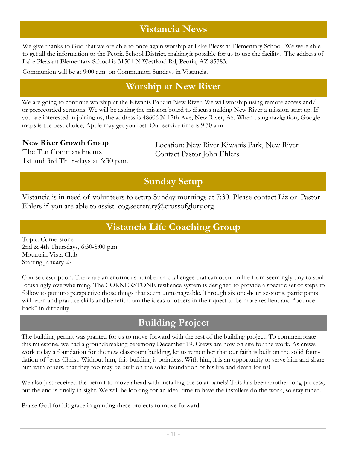## **Vistancia News**

We give thanks to God that we are able to once again worship at Lake Pleasant Elementary School. We were able to get all the information to the Peoria School District, making it possible for us to use the facility. The address of Lake Pleasant Elementary School is 31501 N Westland Rd, Peoria, AZ 85383.

Communion will be at 9:00 a.m. on Communion Sundays in Vistancia.

## **Worship at New River**

We are going to continue worship at the Kiwanis Park in New River. We will worship using remote access and/ or prerecorded sermons. We will be asking the mission board to discuss making New River a mission start-up. If you are interested in joining us, the address is 48606 N 17th Ave, New River, Az. When using navigation, Google maps is the best choice, Apple may get you lost. Our service time is 9:30 a.m.

### **New River Growth Group**

Location: New River Kiwanis Park, New River Contact Pastor John Ehlers

The Ten Commandments 1st and 3rd Thursdays at 6:30 p.m.

## **Sunday Setup**

Vistancia is in need of volunteers to setup Sunday mornings at 7:30. Please contact Liz or Pastor Ehlers if you are able to assist. cog. secretary  $(a)$  crossofglory. org

## **Vistancia Life Coaching Group**

Topic: Cornerstone 2nd & 4th Thursdays, 6:30-8:00 p.m. Mountain Vista Club Starting January 27

Course description: There are an enormous number of challenges that can occur in life from seemingly tiny to soul -crushingly overwhelming. The CORNERSTONE resilience system is designed to provide a specific set of steps to follow to put into perspective those things that seem unmanageable. Through six one-hour sessions, participants will learn and practice skills and benefit from the ideas of others in their quest to be more resilient and "bounce back" in difficulty

## **Building Project**

The building permit was granted for us to move forward with the rest of the building project. To commemorate this milestone, we had a groundbreaking ceremony December 19. Crews are now on site for the work. As crews work to lay a foundation for the new classroom building, let us remember that our faith is built on the solid foundation of Jesus Christ. Without him, this building is pointless. With him, it is an opportunity to serve him and share him with others, that they too may be built on the solid foundation of his life and death for us!

We also just received the permit to move ahead with installing the solar panels! This has been another long process, but the end is finally in sight. We will be looking for an ideal time to have the installers do the work, so stay tuned.

Praise God for his grace in granting these projects to move forward!